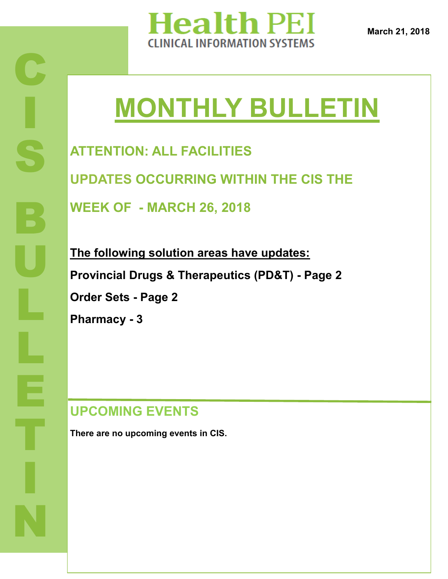

# **MONTHLY BULLETIN**

**ATTENTION: ALL FACILITIES**

**UPDATES OCCURRING WITHIN THE CIS THE** 

**WEEK OF - MARCH 26, 2018**

**The following solution areas have updates: Provincial Drugs & Therapeutics (PD&T) - Page 2 Order Sets - Page 2 Pharmacy - 3**

**UPCOMING EVENTS**

**There are no upcoming events in CIS.**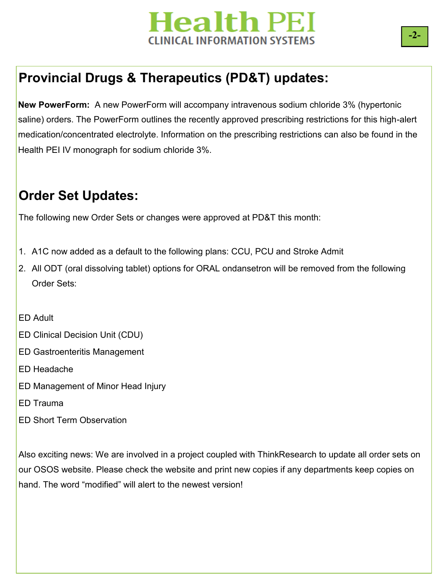## **Health PEI** INICAL INFORMATION SYSTEMS.

### **Provincial Drugs & Therapeutics (PD&T) updates:**

**New PowerForm:** A new PowerForm will accompany intravenous sodium chloride 3% (hypertonic saline) orders. The PowerForm outlines the recently approved prescribing restrictions for this high-alert medication/concentrated electrolyte. Information on the prescribing restrictions can also be found in the Health PEI IV monograph for sodium chloride 3%.

#### **Order Set Updates:**

The following new Order Sets or changes were approved at PD&T this month:

- 1. A1C now added as a default to the following plans: CCU, PCU and Stroke Admit
- 2. All ODT (oral dissolving tablet) options for ORAL ondansetron will be removed from the following Order Sets:

ED Adult

- ED Clinical Decision Unit (CDU)
- ED Gastroenteritis Management
- ED Headache
- ED Management of Minor Head Injury
- ED Trauma
- ED Short Term Observation

Also exciting news: We are involved in a project coupled with ThinkResearch to update all order sets on our OSOS website. Please check the website and print new copies if any departments keep copies on hand. The word "modified" will alert to the newest version!